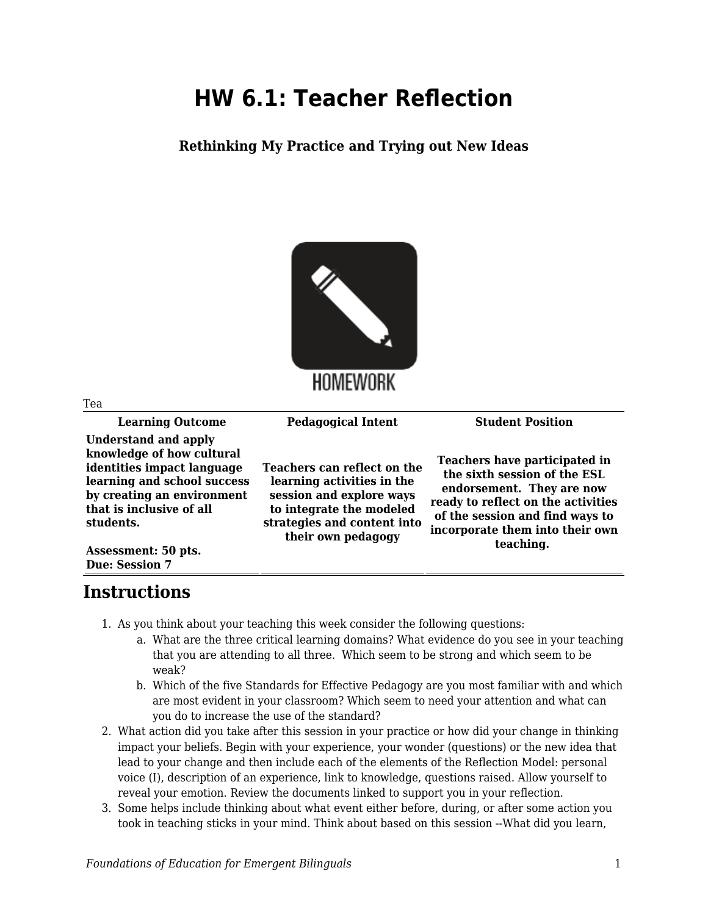## **HW 6.1: Teacher Reflection**

**Rethinking My Practice and Trying out New Ideas**



| Tea                                                                                                                                                                                                                                   |                                                                                                                                                                        |                                                                                                                                                                                                                     |
|---------------------------------------------------------------------------------------------------------------------------------------------------------------------------------------------------------------------------------------|------------------------------------------------------------------------------------------------------------------------------------------------------------------------|---------------------------------------------------------------------------------------------------------------------------------------------------------------------------------------------------------------------|
| <b>Learning Outcome</b>                                                                                                                                                                                                               | <b>Pedagogical Intent</b>                                                                                                                                              | <b>Student Position</b>                                                                                                                                                                                             |
| <b>Understand and apply</b><br>knowledge of how cultural<br>identities impact language<br>learning and school success<br>by creating an environment<br>that is inclusive of all<br>students.<br>Assessment: 50 pts.<br>Due: Session 7 | Teachers can reflect on the<br>learning activities in the<br>session and explore ways<br>to integrate the modeled<br>strategies and content into<br>their own pedagogy | Teachers have participated in<br>the sixth session of the ESL<br>endorsement. They are now<br>ready to reflect on the activities<br>of the session and find ways to<br>incorporate them into their own<br>teaching. |

## **Instructions**

- 1. As you think about your teaching this week consider the following questions:
	- a. What are the three critical learning domains? What evidence do you see in your teaching that you are attending to all three. Which seem to be strong and which seem to be weak?
	- b. Which of the five Standards for Effective Pedagogy are you most familiar with and which are most evident in your classroom? Which seem to need your attention and what can you do to increase the use of the standard?
- 2. What action did you take after this session in your practice or how did your change in thinking impact your beliefs. Begin with your experience, your wonder (questions) or the new idea that lead to your change and then include each of the elements of the Reflection Model: personal voice (I), description of an experience, link to knowledge, questions raised. Allow yourself to reveal your emotion. Review the documents linked to support you in your reflection.
- 3. Some helps include thinking about what event either before, during, or after some action you took in teaching sticks in your mind. Think about based on this session --What did you learn,